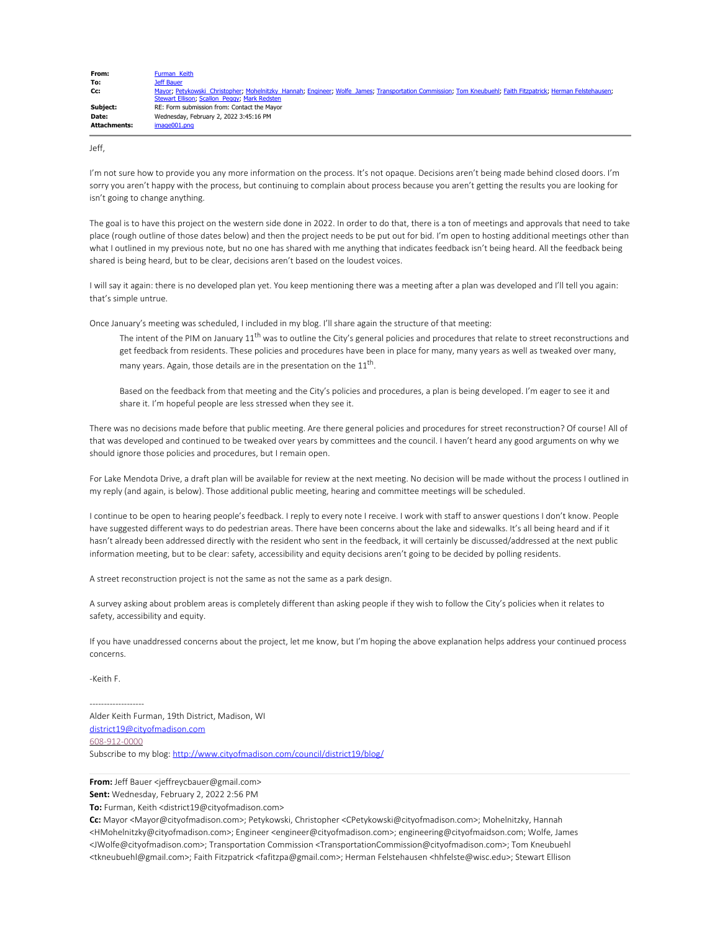| From:               | Furman Keith                                                                                                                                                |
|---------------------|-------------------------------------------------------------------------------------------------------------------------------------------------------------|
| To:                 | Jeff Bauer                                                                                                                                                  |
| Cc:                 | Mayor; Petykowski Christopher; Mohelnitzky Hannah; Engineer; Wolfe James; Transportation Commission; Tom Kneubuehl; Faith Fitzpatrick; Herman Felstehausen; |
|                     | Stewart Ellison; Scallon Peggy; Mark Redsten                                                                                                                |
| Subject:            | RE: Form submission from: Contact the Mayor                                                                                                                 |
| Date:               | Wednesday, February 2, 2022 3:45:16 PM                                                                                                                      |
| <b>Attachments:</b> | image001.png                                                                                                                                                |
|                     |                                                                                                                                                             |

Jeff,

I'm not sure how to provide you any more information on the process. It's not opaque. Decisions aren't being made behind closed doors. I'm sorry you aren't happy with the process, but continuing to complain about process because you aren't getting the results you are looking for isn't going to change anything.

The goal is to have this project on the western side done in 2022. In order to do that, there is a ton of meetings and approvals that need to take place (rough outline of those dates below) and then the project needs to be put out for bid. I'm open to hosting additional meetings other than what I outlined in my previous note, but no one has shared with me anything that indicates feedback isn't being heard. All the feedback being shared is being heard, but to be clear, decisions aren't based on the loudest voices.

I will say it again: there is no developed plan yet. You keep mentioning there was a meeting after a plan was developed and I'll tell you again: that's simple untrue.

Once January's meeting was scheduled, I included in my blog. I'll share again the structure of that meeting:

The intent of the PIM on January 11<sup>th</sup> was to outline the City's general policies and procedures that relate to street reconstructions and get feedback from residents. These policies and procedures have been in place for many, many years as well as tweaked over many, many years. Again, those details are in the presentation on the  $11<sup>th</sup>$ .

Based on the feedback from that meeting and the City's policies and procedures, a plan is being developed. I'm eager to see it and share it. I'm hopeful people are less stressed when they see it.

There was no decisions made before that public meeting. Are there general policies and procedures for street reconstruction? Of course! All of that was developed and continued to be tweaked over years by committees and the council. I haven't heard any good arguments on why we should ignore those policies and procedures, but I remain open.

For Lake Mendota Drive, a draft plan will be available for review at the next meeting. No decision will be made without the process I outlined in my reply (and again, is below). Those additional public meeting, hearing and committee meetings will be scheduled.

I continue to be open to hearing people's feedback. I reply to every note I receive. I work with staff to answer questions I don't know. People have suggested different ways to do pedestrian areas. There have been concerns about the lake and sidewalks. It's all being heard and if it hasn't already been addressed directly with the resident who sent in the feedback, it will certainly be discussed/addressed at the next public information meeting, but to be clear: safety, accessibility and equity decisions aren't going to be decided by polling residents.

A street reconstruction project is not the same as not the same as a park design.

A survey asking about problem areas is completely different than asking people if they wish to follow the City's policies when it relates to safety, accessibility and equity.

If you have unaddressed concerns about the project, let me know, but I'm hoping the above explanation helps address your continued process concerns.

-Keith F.

------------------- Alder Keith Furman, 19th District, Madison, WI district19@cityofmadison.com

608-912-0000

Subscribe to my blog: http://www.cityofmadison.com/council/district19/blog/

**From:** Jeff Bauer <jeffreycbauer@gmail.com>

**Sent:** Wednesday, February 2, 2022 2:56 PM

**To:** Furman, Keith <district19@cityofmadison.com>

**Cc:** Mayor <Mayor@cityofmadison.com>; Petykowski, Christopher <CPetykowski@cityofmadison.com>; Mohelnitzky, Hannah <HMohelnitzky@cityofmadison.com>; Engineer <engineer@cityofmadison.com>; engineering@cityofmaidson.com; Wolfe, James <JWolfe@cityofmadison.com>; Transportation Commission <TransportationCommission@cityofmadison.com>; Tom Kneubuehl <tkneubuehl@gmail.com>; Faith Fitzpatrick <fafitzpa@gmail.com>; Herman Felstehausen <hhfelste@wisc.edu>; Stewart Ellison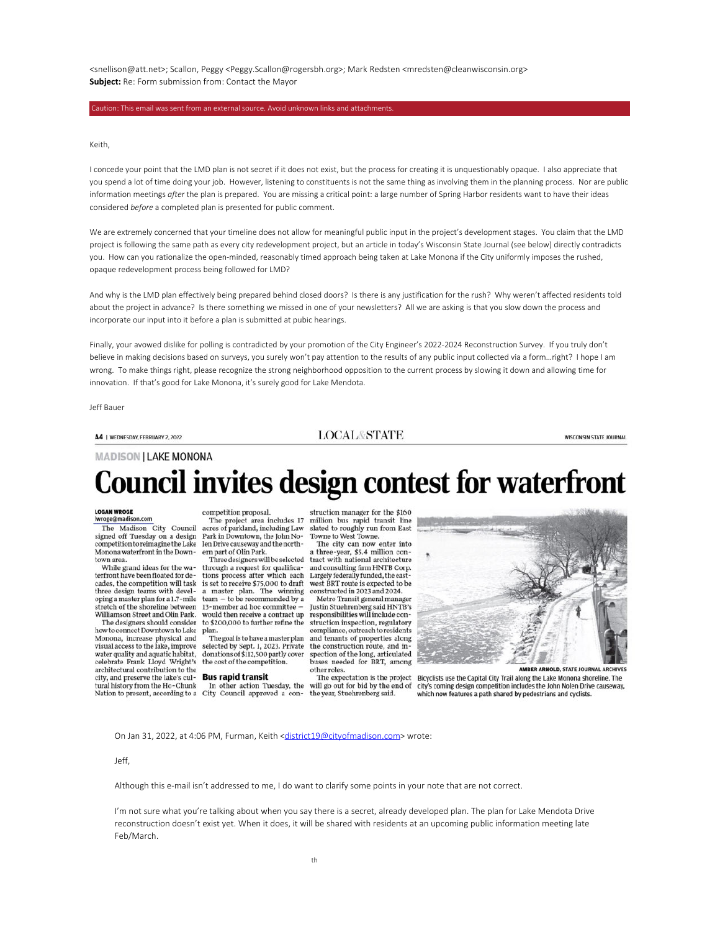<snellison@att.net>; Scallon, Peggy <Peggy.Scallon@rogersbh.org>; Mark Redsten <mredsten@cleanwisconsin.org> **Subject:** Re: Form submission from: Contact the Mayor

Caution: This email was sent from an external source. Avoid unknown links and attachments.

Keith,

I concede your point that the LMD plan is not secret if it does not exist, but the process for creating it is unquestionably opaque. I also appreciate that you spend a lot of time doing your job. However, listening to constituents is not the same thing as involving them in the planning process. Nor are public information meetings *after* the plan is prepared. You are missing a critical point: a large number of Spring Harbor residents want to have their ideas considered *before* a completed plan is presented for public comment.

We are extremely concerned that your timeline does not allow for meaningful public input in the project's development stages. You claim that the LMD project is following the same path as every city redevelopment project, but an article in today's Wisconsin State Journal (see below) directly contradicts you. How can you rationalize the open-minded, reasonably timed approach being taken at Lake Monona if the City uniformly imposes the rushed, opaque redevelopment process being followed for LMD?

And why is the LMD plan effectively being prepared behind closed doors? Is there is any justification for the rush? Why weren't affected residents told about the project in advance? Is there something we missed in one of your newsletters? All we are asking is that you slow down the process and incorporate our input into it before a plan is submitted at pubic hearings.

Finally, your avowed dislike for polling is contradicted by your promotion of the City Engineer's 2022-2024 Reconstruction Survey. If you truly don't believe in making decisions based on surveys, you surely won't pay attention to the results of any public input collected via a form…right? I hope I am wrong. To make things right, please recognize the strong neighborhood opposition to the current process by slowing it down and allowing time for innovation. If that's good for Lake Monona, it's surely good for Lake Mendota.

Jeff Bauer

#### A4 | WEDNESDAY, FEBRUARY 2, 2022

**LOCAL&STATE** 

**WISCONSIN STATE JOURNAL** 

### **MADISON | LAKE MONONA**

# **Council invites design contest for waterfront**

# LOGAN WROGE<br>|wroge@madison.com

The Madison City Council signed off Tuesday on a design<br>competition to reimagine the Lake Monona waterfront in the Downtown area.

While grand ideas for the waterfront have been floated for decades, the competition will task three design teams with developing a master plan for a 1.7-mile stretch of the shoreline between Williamson Street and Olin Park.

The designers should consider how to connect Downtown to Lake Monona, increase physical and visual access to the lake, improve water quality and aquatic habitat,<br>celebrate Frank Lloyd Wright's architectural contribution to the city, and preserve the lake's cultural history from the Ho-Chunk

competition proposal. The project area includes 17<br>acres of parkland, including Law Park in Downtown, the John No-<br>len Drive causeway and the northern part of Olin Park

through a request for qualifications process after which each is set to receive \$75,000 to draft  $a$  master plan. The winning<br>team  $-$  to be recommended by a 13-member ad hoc committee would then receive a contract up to \$200,000 to further refine the plan.

The goal is to have a master plan selected by Sept. 1, 2023. Private donations of \$112,500 partly cover<br>the cost of the competition.

#### **Bus rapid transit**

Nation to present, according to a City Council approved a con- the year, Stuehrenberg said.

struction manager for the \$160 million bus rapid transit line<br>slated to roughly run from East Towne to West Towne.

The city can now enter into m part of Olin Park. a three-year, \$5.4 million con-<br>Three designers will be selected tract with national architecture and consulting firm HNTB Corp. Largely federally funded, the eastwest BRT route is expected to be constructed in 2023 and 2024.

Metro Transit general manag Justin Stuehrenberg said HNTB's responsibilities will include construction inspection, regulatory compliance, outreach to residents and tenants of properties along the construction route, and inspection of the long, articulated<br>buses needed for BRT, among other roles.

The expectation is the project In other action Tuesday, the will go out for bid by the end of



**AMBER ARNOLD, STATE JOURNAL ARCHIVES** 

Bicyclists use the Capital City Trail along the Lake Monona shoreline. The city's coming design competition includes the John Nolen Drive causeway, which now features a path shared by pedestrians and cyclists.

On Jan 31, 2022, at 4:06 PM, Furman, Keith <district19@cityofmadison.com> wrote:

#### Jeff,

Although this e-mail isn't addressed to me, I do want to clarify some points in your note that are not correct.

I'm not sure what you're talking about when you say there is a secret, already developed plan. The plan for Lake Mendota Drive reconstruction doesn't exist yet. When it does, it will be shared with residents at an upcoming public information meeting late Feb/March.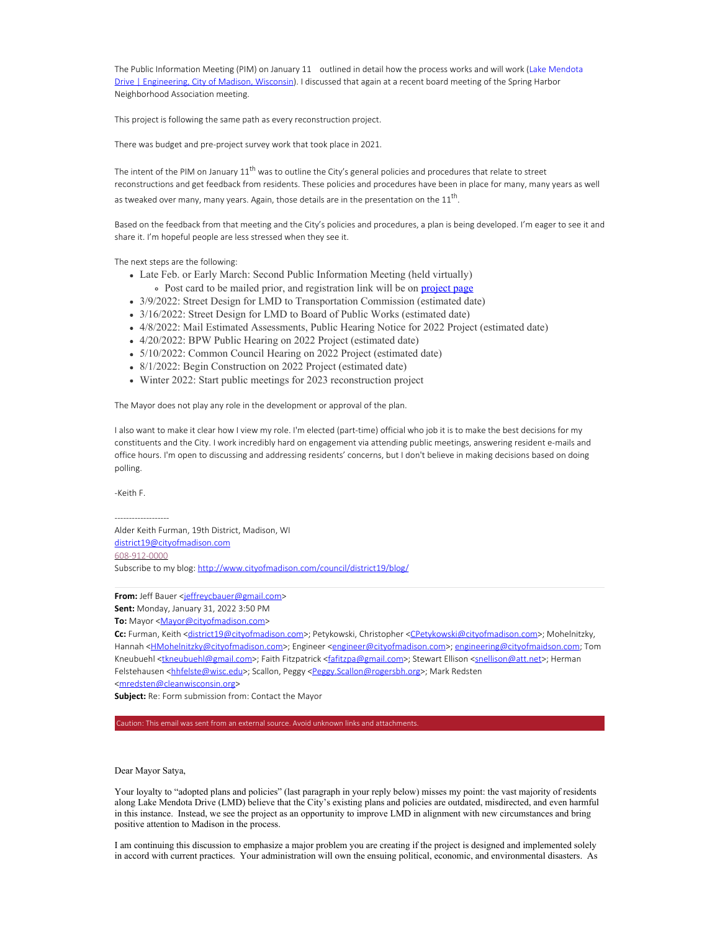The Public Information Meeting (PIM) on January 11 outlined in detail how the process works and will work (Lake Mendota Drive | Engineering, City of Madison, Wisconsin). I discussed that again at a recent board meeting of the Spring Harbor Neighborhood Association meeting.

This project is following the same path as every reconstruction project.

There was budget and pre-project survey work that took place in 2021.

The intent of the PIM on January 11<sup>th</sup> was to outline the City's general policies and procedures that relate to street reconstructions and get feedback from residents. These policies and procedures have been in place for many, many years as well as tweaked over many, many years. Again, those details are in the presentation on the  $11<sup>th</sup>$ .

Based on the feedback from that meeting and the City's policies and procedures, a plan is being developed. I'm eager to see it and share it. I'm hopeful people are less stressed when they see it.

The next steps are the following:

- Late Feb. or Early March: Second Public Information Meeting (held virtually)
	- Post card to be mailed prior, and registration link will be on **project page**
- 3/9/2022: Street Design for LMD to Transportation Commission (estimated date)
- 3/16/2022: Street Design for LMD to Board of Public Works (estimated date)
- 4/8/2022: Mail Estimated Assessments, Public Hearing Notice for 2022 Project (estimated date)
- 4/20/2022: BPW Public Hearing on 2022 Project (estimated date)
- 5/10/2022: Common Council Hearing on 2022 Project (estimated date)
- 8/1/2022: Begin Construction on 2022 Project (estimated date)
- Winter 2022: Start public meetings for 2023 reconstruction project

The Mayor does not play any role in the development or approval of the plan.

I also want to make it clear how I view my role. I'm elected (part-time) official who job it is to make the best decisions for my constituents and the City. I work incredibly hard on engagement via attending public meetings, answering resident e-mails and office hours. I'm open to discussing and addressing residents' concerns, but I don't believe in making decisions based on doing polling.

-Keith F.

-------------------

Alder Keith Furman, 19th District, Madison, WI district19@cityofmadison.com 608-912-0000 Subscribe to my blog: http://www.cityofmadison.com/council/district19/blog/

From: Jeff Bauer <jeffreycbauer@gmail.com>

**Sent:** Monday, January 31, 2022 3:50 PM

To: Mayor <Mayor@cityofmadison.com>

**Cc:** Furman, Keith <district19@cityofmadison.com>; Petykowski, Christopher <CPetykowski@cityofmadison.com>; Mohelnitzky, Hannah <**HMohelnitzky@cityofmadison.com>**; Engineer <engineer@cityofmadison.com>; engineering@cityofmaidson.com; Tom Kneubuehl <tkneubuehl@gmail.com>; Faith Fitzpatrick <fafitzpa@gmail.com>; Stewart Ellison <snellison@att.net>; Herman Felstehausen <hhfelste@wisc.edu>; Scallon, Peggy <Peggy.Scallon@rogersbh.org>; Mark Redsten

<mredsten@cleanwisconsin.org>

**Subject:** Re: Form submission from: Contact the Mayor

Caution: This email was sent from an external source. Avoid unknown links and attachments.

Dear Mayor Satya,

Your loyalty to "adopted plans and policies" (last paragraph in your reply below) misses my point: the vast majority of residents along Lake Mendota Drive (LMD) believe that the City's existing plans and policies are outdated, misdirected, and even harmful in this instance. Instead, we see the project as an opportunity to improve LMD in alignment with new circumstances and bring positive attention to Madison in the process.

I am continuing this discussion to emphasize a major problem you are creating if the project is designed and implemented solely in accord with current practices. Your administration will own the ensuing political, economic, and environmental disasters. As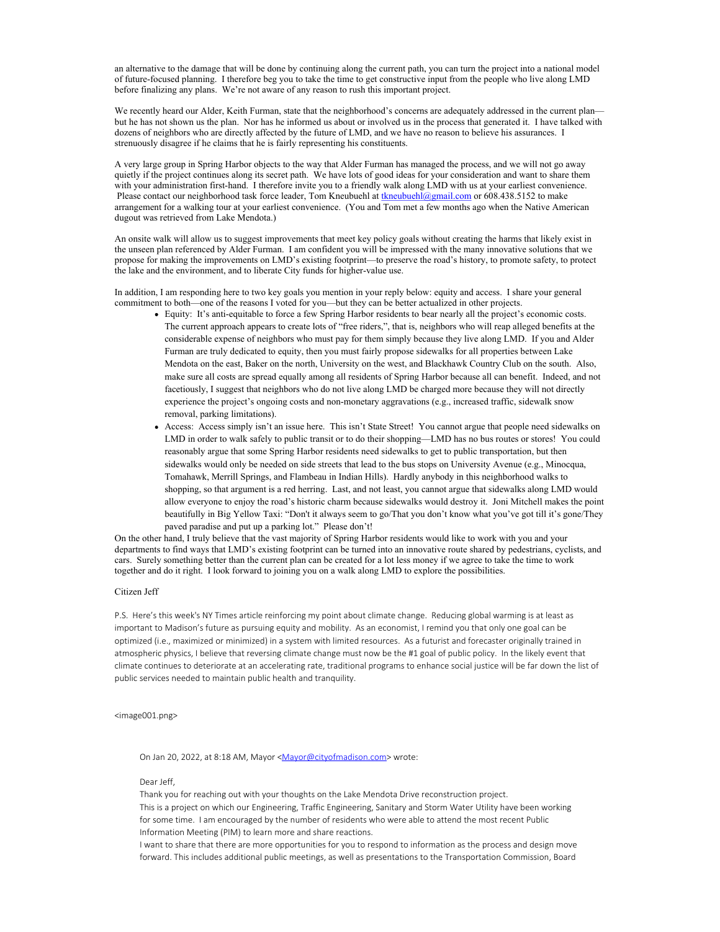an alternative to the damage that will be done by continuing along the current path, you can turn the project into a national model of future-focused planning. I therefore beg you to take the time to get constructive input from the people who live along LMD before finalizing any plans. We're not aware of any reason to rush this important project.

We recently heard our Alder, Keith Furman, state that the neighborhood's concerns are adequately addressed in the current plan but he has not shown us the plan. Nor has he informed us about or involved us in the process that generated it. I have talked with dozens of neighbors who are directly affected by the future of LMD, and we have no reason to believe his assurances. I strenuously disagree if he claims that he is fairly representing his constituents.

A very large group in Spring Harbor objects to the way that Alder Furman has managed the process, and we will not go away quietly if the project continues along its secret path. We have lots of good ideas for your consideration and want to share them with your administration first-hand. I therefore invite you to a friendly walk along LMD with us at your earliest convenience. Please contact our neighborhood task force leader, Tom Kneubuehl at tkneubuehl@gmail.com or 608.438.5152 to make arrangement for a walking tour at your earliest convenience. (You and Tom met a few months ago when the Native American dugout was retrieved from Lake Mendota.)

An onsite walk will allow us to suggest improvements that meet key policy goals without creating the harms that likely exist in the unseen plan referenced by Alder Furman. I am confident you will be impressed with the many innovative solutions that we propose for making the improvements on LMD's existing footprint—to preserve the road's history, to promote safety, to protect the lake and the environment, and to liberate City funds for higher-value use.

In addition, I am responding here to two key goals you mention in your reply below: equity and access. I share your general commitment to both—one of the reasons I voted for you—but they can be better actualized in other projects.

- Equity: It's anti-equitable to force a few Spring Harbor residents to bear nearly all the project's economic costs. The current approach appears to create lots of "free riders,", that is, neighbors who will reap alleged benefits at the considerable expense of neighbors who must pay for them simply because they live along LMD. If you and Alder Furman are truly dedicated to equity, then you must fairly propose sidewalks for all properties between Lake Mendota on the east, Baker on the north, University on the west, and Blackhawk Country Club on the south. Also, make sure all costs are spread equally among all residents of Spring Harbor because all can benefit. Indeed, and not facetiously, I suggest that neighbors who do not live along LMD be charged more because they will not directly experience the project's ongoing costs and non-monetary aggravations (e.g., increased traffic, sidewalk snow removal, parking limitations).
- Access: Access simply isn't an issue here. This isn't State Street! You cannot argue that people need sidewalks on LMD in order to walk safely to public transit or to do their shopping—LMD has no bus routes or stores! You could reasonably argue that some Spring Harbor residents need sidewalks to get to public transportation, but then sidewalks would only be needed on side streets that lead to the bus stops on University Avenue (e.g., Minocqua, Tomahawk, Merrill Springs, and Flambeau in Indian Hills). Hardly anybody in this neighborhood walks to shopping, so that argument is a red herring. Last, and not least, you cannot argue that sidewalks along LMD would allow everyone to enjoy the road's historic charm because sidewalks would destroy it. Joni Mitchell makes the point beautifully in Big Yellow Taxi: "Don't it always seem to go/That you don't know what you've got till it's gone/They paved paradise and put up a parking lot." Please don't!

On the other hand, I truly believe that the vast majority of Spring Harbor residents would like to work with you and your departments to find ways that LMD's existing footprint can be turned into an innovative route shared by pedestrians, cyclists, and cars. Surely something better than the current plan can be created for a lot less money if we agree to take the time to work together and do it right. I look forward to joining you on a walk along LMD to explore the possibilities.

#### Citizen Jeff

P.S. Here's this week's NY Times article reinforcing my point about climate change. Reducing global warming is at least as important to Madison's future as pursuing equity and mobility. As an economist, I remind you that only one goal can be optimized (i.e., maximized or minimized) in a system with limited resources. As a futurist and forecaster originally trained in atmospheric physics, I believe that reversing climate change must now be the #1 goal of public policy. In the likely event that climate continues to deteriorate at an accelerating rate, traditional programs to enhance social justice will be far down the list of public services needed to maintain public health and tranquility.

<image001.png>

On Jan 20, 2022, at 8:18 AM, Mayor <Mayor@cityofmadison.com> wrote:

## Dear Jeff,

Thank you for reaching out with your thoughts on the Lake Mendota Drive reconstruction project. This is a project on which our Engineering, Traffic Engineering, Sanitary and Storm Water Utility have been working for some time. I am encouraged by the number of residents who were able to attend the most recent Public Information Meeting (PIM) to learn more and share reactions.

I want to share that there are more opportunities for you to respond to information as the process and design move forward. This includes additional public meetings, as well as presentations to the Transportation Commission, Board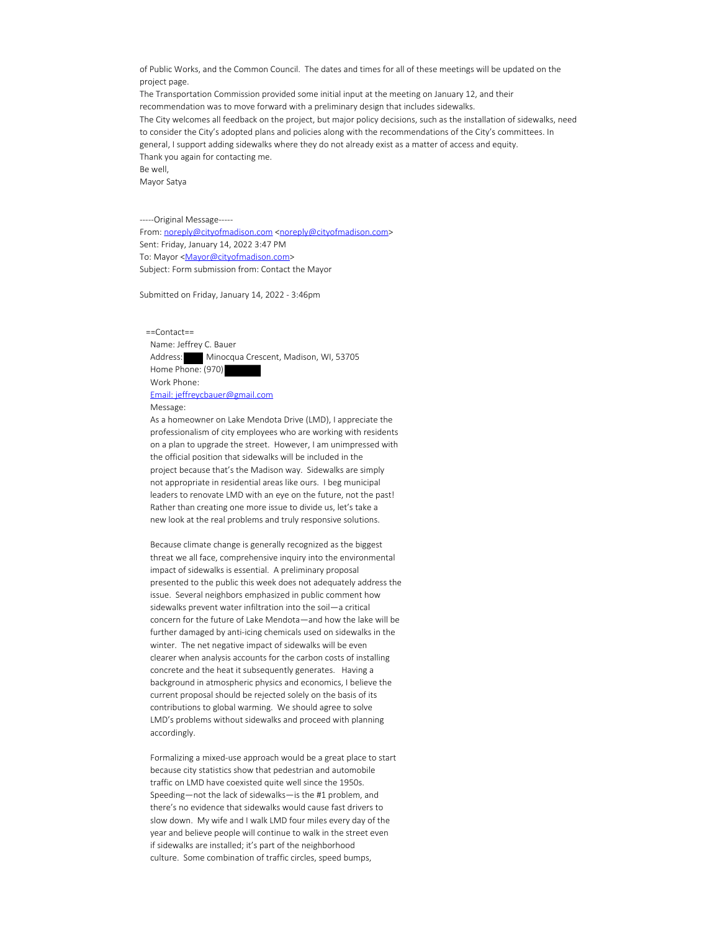of Public Works, and the Common Council. The dates and times for all of these meetings will be updated on the project page.

The Transportation Commission provided some initial input at the meeting on January 12, and their recommendation was to move forward with a preliminary design that includes sidewalks. The City welcomes all feedback on the project, but major policy decisions, such as the installation of sidewalks, need to consider the City's adopted plans and policies along with the recommendations of the City's committees. In general, I support adding sidewalks where they do not already exist as a matter of access and equity. Thank you again for contacting me. Be well, Mayor Satya

-----Original Message----- From: noreply@cityofmadison.com <noreply@cityofmadison.com> Sent: Friday, January 14, 2022 3:47 PM To: Mayor <Mayor@cityofmadison.com> Subject: Form submission from: Contact the Mayor

Submitted on Friday, January 14, 2022 - 3:46pm

 ==Contact== Name: Jeffrey C. Bauer Address: Minocqua Crescent, Madison, WI, 53705 Home Phone: (970) Work Phone: Email: jeffreycbauer@gmail.com Message:

 As a homeowner on Lake Mendota Drive (LMD), I appreciate the professionalism of city employees who are working with residents on a plan to upgrade the street. However, I am unimpressed with the official position that sidewalks will be included in the project because that's the Madison way. Sidewalks are simply not appropriate in residential areas like ours. I beg municipal leaders to renovate LMD with an eye on the future, not the past! Rather than creating one more issue to divide us, let's take a new look at the real problems and truly responsive solutions.

 Because climate change is generally recognized as the biggest threat we all face, comprehensive inquiry into the environmental impact of sidewalks is essential. A preliminary proposal presented to the public this week does not adequately address the issue. Several neighbors emphasized in public comment how sidewalks prevent water infiltration into the soil—a critical concern for the future of Lake Mendota—and how the lake will be further damaged by anti-icing chemicals used on sidewalks in the winter. The net negative impact of sidewalks will be even clearer when analysis accounts for the carbon costs of installing concrete and the heat it subsequently generates. Having a background in atmospheric physics and economics, I believe the current proposal should be rejected solely on the basis of its contributions to global warming. We should agree to solve LMD's problems without sidewalks and proceed with planning accordingly.

 Formalizing a mixed-use approach would be a great place to start because city statistics show that pedestrian and automobile traffic on LMD have coexisted quite well since the 1950s. Speeding—not the lack of sidewalks—is the #1 problem, and there's no evidence that sidewalks would cause fast drivers to slow down. My wife and I walk LMD four miles every day of the year and believe people will continue to walk in the street even if sidewalks are installed; it's part of the neighborhood culture. Some combination of traffic circles, speed bumps,